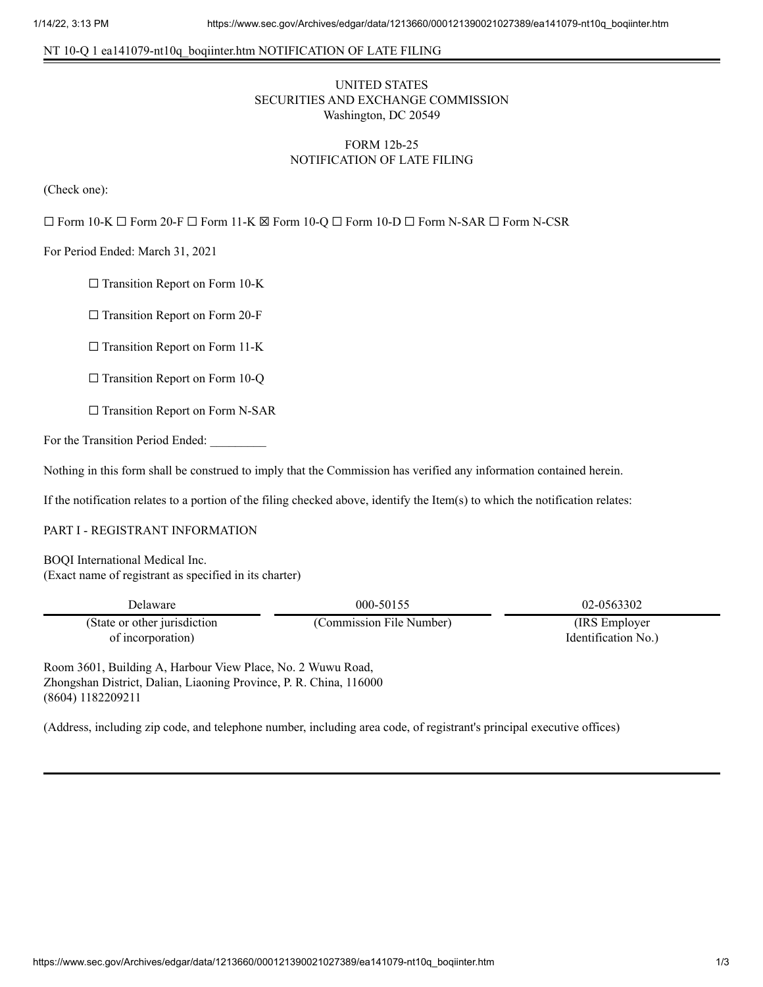## NT 10-Q 1 ea141079-nt10q\_boqiinter.htm NOTIFICATION OF LATE FILING

# UNITED STATES SECURITIES AND EXCHANGE COMMISSION Washington, DC 20549

# FORM 12b-25 NOTIFICATION OF LATE FILING

(Check one):

☐ Form 10-K ☐ Form 20-F ☐ Form 11-K ☒ Form 10-Q ☐ Form 10-D ☐ Form N-SAR ☐ Form N-CSR

For Period Ended: March 31, 2021

 $\Box$  Transition Report on Form 10-K

☐ Transition Report on Form 20-F

□ Transition Report on Form 11-K

 $\Box$  Transition Report on Form 10-Q

□ Transition Report on Form N-SAR

For the Transition Period Ended:

Nothing in this form shall be construed to imply that the Commission has verified any information contained herein.

If the notification relates to a portion of the filing checked above, identify the Item(s) to which the notification relates:

#### PART I - REGISTRANT INFORMATION

BOQI International Medical Inc. (Exact name of registrant as specified in its charter)

| Delaware                     | 000-50155                | 02-0563302          |
|------------------------------|--------------------------|---------------------|
| (State or other jurisdiction | (Commission File Number) | (IRS Employer)      |
| of incorporation)            |                          | Identification No.) |

Room 3601, Building A, Harbour View Place, No. 2 Wuwu Road, Zhongshan District, Dalian, Liaoning Province, P. R. China, 116000 (8604) 1182209211

(Address, including zip code, and telephone number, including area code, of registrant's principal executive offices)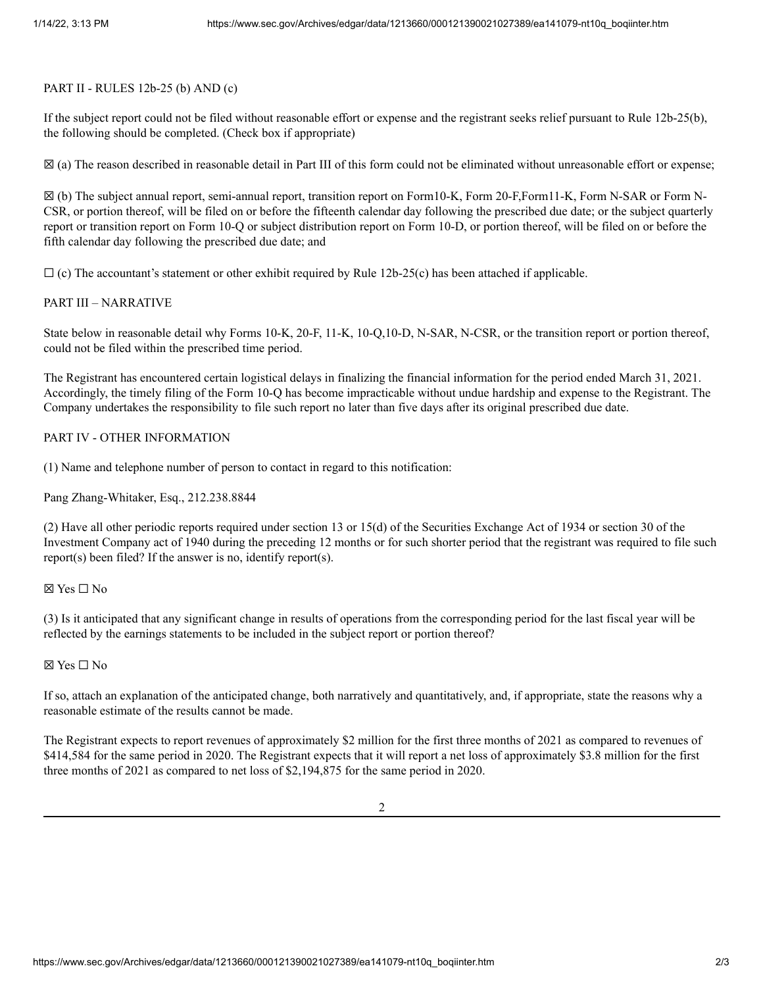#### PART II - RULES 12b-25 (b) AND (c)

If the subject report could not be filed without reasonable effort or expense and the registrant seeks relief pursuant to Rule 12b-25(b), the following should be completed. (Check box if appropriate)

☒ (a) The reason described in reasonable detail in Part III of this form could not be eliminated without unreasonable effort or expense;

☒ (b) The subject annual report, semi-annual report, transition report on Form10-K, Form 20-F,Form11-K, Form N-SAR or Form N-CSR, or portion thereof, will be filed on or before the fifteenth calendar day following the prescribed due date; or the subject quarterly report or transition report on Form 10-Q or subject distribution report on Form 10-D, or portion thereof, will be filed on or before the fifth calendar day following the prescribed due date; and

 $\Box$  (c) The accountant's statement or other exhibit required by Rule 12b-25(c) has been attached if applicable.

### PART III – NARRATIVE

State below in reasonable detail why Forms 10-K, 20-F, 11-K, 10-Q,10-D, N-SAR, N-CSR, or the transition report or portion thereof, could not be filed within the prescribed time period.

The Registrant has encountered certain logistical delays in finalizing the financial information for the period ended March 31, 2021. Accordingly, the timely filing of the Form 10-Q has become impracticable without undue hardship and expense to the Registrant. The Company undertakes the responsibility to file such report no later than five days after its original prescribed due date.

### PART IV - OTHER INFORMATION

(1) Name and telephone number of person to contact in regard to this notification:

Pang Zhang-Whitaker, Esq., 212.238.8844

(2) Have all other periodic reports required under section 13 or 15(d) of the Securities Exchange Act of 1934 or section 30 of the Investment Company act of 1940 during the preceding 12 months or for such shorter period that the registrant was required to file such report(s) been filed? If the answer is no, identify report(s).

## ☒ Yes ☐ No

(3) Is it anticipated that any significant change in results of operations from the corresponding period for the last fiscal year will be reflected by the earnings statements to be included in the subject report or portion thereof?

## ☒ Yes ☐ No

If so, attach an explanation of the anticipated change, both narratively and quantitatively, and, if appropriate, state the reasons why a reasonable estimate of the results cannot be made.

The Registrant expects to report revenues of approximately \$2 million for the first three months of 2021 as compared to revenues of \$414,584 for the same period in 2020. The Registrant expects that it will report a net loss of approximately \$3.8 million for the first three months of 2021 as compared to net loss of \$2,194,875 for the same period in 2020.